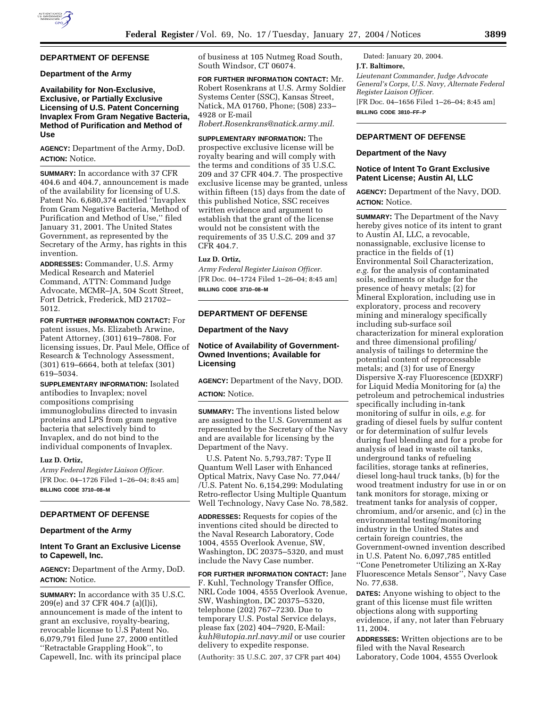## **DEPARTMENT OF DEFENSE**

#### **Department of the Army**

### **Availability for Non-Exclusive, Exclusive, or Partially Exclusive Licensing of U.S. Patent Concerning Invaplex From Gram Negative Bacteria, Method of Purification and Method of Use**

**AGENCY:** Department of the Army, DoD. **ACTION:** Notice.

**SUMMARY:** In accordance with 37 CFR 404.6 and 404.7, announcement is made of the availability for licensing of U.S. Patent No. 6,680,374 entitled ''Invaplex from Gram Negative Bacteria, Method of Purification and Method of Use,'' filed January 31, 2001. The United States Government, as represented by the Secretary of the Army, has rights in this invention.

**ADDRESSES:** Commander, U.S. Army Medical Research and Materiel Command, ATTN: Command Judge Advocate, MCMR–JA, 504 Scott Street, Fort Detrick, Frederick, MD 21702– 5012.

**FOR FURTHER INFORMATION CONTACT:** For patent issues, Ms. Elizabeth Arwine, Patent Attorney, (301) 619–7808. For licensing issues, Dr. Paul Mele, Office of Research & Technology Assessment, (301) 619–6664, both at telefax (301) 619–5034.

**SUPPLEMENTARY INFORMATION:** Isolated antibodies to Invaplex; novel compositions comprising immunoglobulins directed to invasin proteins and LPS from gram negative bacteria that selectively bind to Invaplex, and do not bind to the individual components of Invaplex.

#### **Luz D. Ortiz,**

*Army Federal Register Liaison Officer.* [FR Doc. 04–1726 Filed 1–26–04; 8:45 am] **BILLING CODE 3710–08–M**

## **DEPARTMENT OF DEFENSE**

#### **Department of the Army**

### **Intent To Grant an Exclusive License to Capewell, Inc.**

**AGENCY:** Department of the Army, DoD. **ACTION:** Notice.

**SUMMARY:** In accordance with 35 U.S.C. 209(e) and 37 CFR 404.7 (a)(l)i), announcement is made of the intent to grant an exclusive, royalty-bearing, revocable license to U.S Patent No. 6,079,791 filed June 27, 2000 entitled ''Retractable Grappling Hook'', to Capewell, Inc. with its principal place

of business at 105 Nutmeg Road South, South Windsor, CT 06074.

**FOR FURTHER INFORMATION CONTACT:** Mr. Robert Rosenkrans at U.S. Army Soldier Systems Center (SSC), Kansas Street, Natick, MA 01760, Phone; (508) 233– 4928 or E-mail

*Robert.Rosenkrans@natick.army.mil.*

**SUPPLEMENTARY INFORMATION:** The prospective exclusive license will be royalty bearing and will comply with the terms and conditions of 35 U.S.C. 209 and 37 CFR 404.7. The prospective exclusive license may be granted, unless within fifteen (15) days from the date of this published Notice, SSC receives written evidence and argument to establish that the grant of the license would not be consistent with the requirements of 35 U.S.C. 209 and 37 CFR 404.7.

#### **Luz D. Ortiz,**

*Army Federal Register Liaison Officer.* [FR Doc. 04–1724 Filed 1–26–04; 8:45 am] **BILLING CODE 3710–08–M**

# **DEPARTMENT OF DEFENSE**

#### **Department of the Navy**

## **Notice of Availability of Government-Owned Inventions; Available for Licensing**

**AGENCY:** Department of the Navy, DOD. **ACTION:** Notice.

**SUMMARY:** The inventions listed below are assigned to the U.S. Government as represented by the Secretary of the Navy and are available for licensing by the Department of the Navy.

U.S. Patent No. 5,793,787: Type II Quantum Well Laser with Enhanced Optical Matrix, Navy Case No. 77,044/ /U.S. Patent No. 6,154,299: Modulating Retro-reflector Using Multiple Quantum Well Technology, Navy Case No. 78,582.

**ADDRESSES:** Requests for copies of the inventions cited should be directed to the Naval Research Laboratory, Code 1004, 4555 Overlook Avenue, SW, Washington, DC 20375–5320, and must include the Navy Case number.

**FOR FURTHER INFORMATION CONTACT:** Jane F. Kuhl, Technology Transfer Office, NRL Code 1004, 4555 Overlook Avenue, SW, Washington, DC 20375–5320, telephone (202) 767–7230. Due to temporary U.S. Postal Service delays, please fax (202) 404–7920, E-Mail: *kuhl@utopia.nrl.navy.mil* or use courier delivery to expedite response.

(Authority: 35 U.S.C. 207, 37 CFR part 404)

Dated: January 20, 2004. **J.T. Baltimore,**  *Lieutenant Commander, Judge Advocate General's Corps, U.S. Navy, Alternate Federal Register Liaison Officer.* [FR Doc. 04–1656 Filed 1–26–04; 8:45 am] **BILLING CODE 3810–FF–P**

## **DEPARTMENT OF DEFENSE**

#### **Department of the Navy**

#### **Notice of Intent To Grant Exclusive Patent License; Austin AI, LLC**

**AGENCY:** Department of the Navy, DOD. **ACTION:** Notice.

**SUMMARY:** The Department of the Navy hereby gives notice of its intent to grant to Austin AI, LLC, a revocable, nonassignable, exclusive license to practice in the fields of (1) Environmental Soil Characterization, *e.g.* for the analysis of contaminated soils, sediments or sludge for the presence of heavy metals; (2) for Mineral Exploration, including use in exploratory, process and recovery mining and mineralogy specifically including sub-surface soil characterization for mineral exploration and three dimensional profiling/ analysis of tailings to determine the potential content of reprocessable metals; and (3) for use of Energy Dispersive X-ray Fluorescence (EDXRF) for Liquid Media Monitoring for (a) the petroleum and petrochemical industries specifically including in-tank monitoring of sulfur in oils, *e.g.* for grading of diesel fuels by sulfur content or for determination of sulfur levels during fuel blending and for a probe for analysis of lead in waste oil tanks, underground tanks of refueling facilities, storage tanks at refineries, diesel long-haul truck tanks, (b) for the wood treatment industry for use in or on tank monitors for storage, mixing or treatment tanks for analysis of copper, chromium, and/or arsenic, and (c) in the environmental testing/monitoring industry in the United States and certain foreign countries, the Government-owned invention described in U.S. Patent No. 6,097,785 entitled ''Cone Penetrometer Utilizing an X-Ray Fluorescence Metals Sensor'', Navy Case No. 77,638.

**DATES:** Anyone wishing to object to the grant of this license must file written objections along with supporting evidence, if any, not later than February 11, 2004.

**ADDRESSES:** Written objections are to be filed with the Naval Research Laboratory, Code 1004, 4555 Overlook